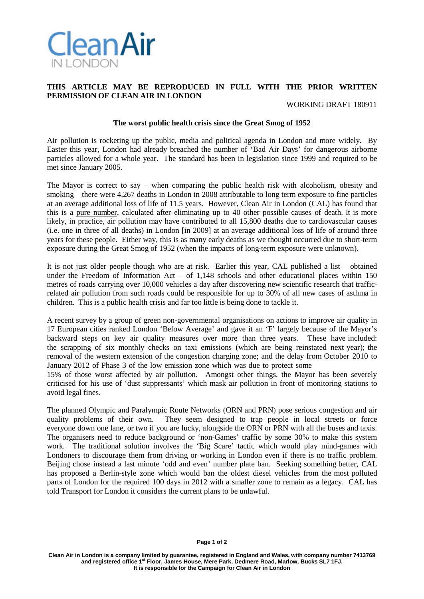

## **THIS ARTICLE MAY BE REPRODUCED IN FULL WITH THE PRIOR WRITTEN PERMISSION OF CLEAN AIR IN LONDON**

WORKING DRAFT 180911

## **The worst public health crisis since the Great Smog of 1952**

Air pollution is rocketing up the public, media and political agenda in London and more widely. By Easter this year, London had already breached the number of 'Bad Air Days' for dangerous airborne particles allowed for a whole year. The standard has been in legislation since 1999 and required to be met since January 2005.

The Mayor is correct to say – when comparing the public health risk with alcoholism, obesity and smoking – there were 4,267 deaths in London in 2008 attributable to long term exposure to fine particles at an average additional loss of life of 11.5 years. However, Clean Air in London (CAL) has found that this is a pure number, calculated after eliminating up to 40 other possible causes of death. It is more likely, in practice, air pollution may have contributed to all 15,800 deaths due to cardiovascular causes (i.e. one in three of all deaths) in London [in 2009] at an average additional loss of life of around three years for these people. Either way, this is as many early deaths as we thought occurred due to short-term exposure during the Great Smog of 1952 (when the impacts of long-term exposure were unknown).

It is not just older people though who are at risk. Earlier this year, CAL published a list – obtained under the Freedom of Information Act – of  $1,148$  schools and other educational places within 150 metres of roads carrying over 10,000 vehicles a day after discovering new scientific research that trafficrelated air pollution from such roads could be responsible for up to 30% of all new cases of asthma in children. This is a public health crisis and far too little is being done to tackle it.

A recent survey by a group of green non-governmental organisations on actions to improve air quality in 17 European cities ranked London 'Below Average' and gave it an 'F' largely because of the Mayor's backward steps on key air quality measures over more than three years. These have included: the scrapping of six monthly checks on taxi emissions (which are being reinstated next year); the removal of the western extension of the congestion charging zone; and the delay from October 2010 to January 2012 of Phase 3 of the low emission zone which was due to protect some

15% of those worst affected by air pollution. Amongst other things, the Mayor has been severely criticised for his use of 'dust suppressants' which mask air pollution in front of monitoring stations to avoid legal fines.

The planned Olympic and Paralympic Route Networks (ORN and PRN) pose serious congestion and air quality problems of their own. They seem designed to trap people in local streets or force everyone down one lane, or two if you are lucky, alongside the ORN or PRN with all the buses and taxis. The organisers need to reduce background or 'non-Games' traffic by some 30% to make this system work. The traditional solution involves the 'Big Scare' tactic which would play mind-games with Londoners to discourage them from driving or working in London even if there is no traffic problem. Beijing chose instead a last minute 'odd and even' number plate ban. Seeking something better, CAL has proposed a Berlin-style zone which would ban the oldest diesel vehicles from the most polluted parts of London for the required 100 days in 2012 with a smaller zone to remain as a legacy. CAL has told Transport for London it considers the current plans to be unlawful.